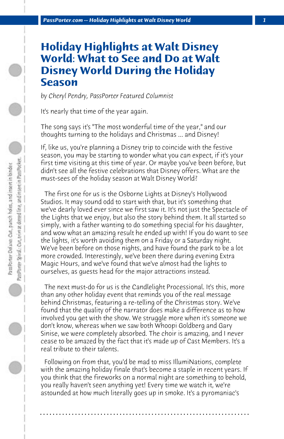## **Holiday Highlights at Walt Disney World: What to See and Do at Walt Disney World During the Holiday Season**

*by Cheryl Pendry, PassPorter Featured Columnist*

It's nearly that time of the year again.

The song says it's "The most wonderful time of the year," and our thoughts turning to the holidays and Christmas ... and Disney!

If, like us, you're planning a Disney trip to coincide with the festive season, you may be starting to wonder what you can expect, if it's your first time visiting at this time of year. Or maybe you've been before, but didn't see all the festive celebrations that Disney offers. What are the must-sees of the holiday season at Walt Disney World?

 The first one for us is the Osborne Lights at Disney's Hollywood Studios. It may sound odd to start with that, but it's something that we've dearly loved ever since we first saw it. It's not just the Spectacle of the Lights that we enjoy, but also the story behind them. It all started so simply, with a father wanting to do something special for his daughter, and wow what an amazing result he ended up with! If you do want to see the lights, it's worth avoiding them on a Friday or a Saturday night. We've been before on those nights, and have found the park to be a lot more crowded. Interestingly, we've been there during evening Extra Magic Hours, and we've found that we've almost had the lights to ourselves, as guests head for the major attractions instead.

 The next must-do for us is the Candlelight Processional. It's this, more than any other holiday event that reminds you of the real message behind Christmas, featuring a re-telling of the Christmas story. We've found that the quality of the narrator does make a difference as to how involved you get with the show. We struggle more when it's someone we don't know, whereas when we saw both Whoopi Goldberg and Gary Sinise, we were completely absorbed. The choir is amazing, and I never cease to be amazed by the fact that it's made up of Cast Members. It's a real tribute to their talents.

 Following on from that, you'd be mad to miss IllumiNations, complete with the amazing holiday finale that's become a staple in recent years. If you think that the fireworks on a normal night are something to behold, you really haven't seen anything yet! Every time we watch it, we're astounded at how much literally goes up in smoke. It's a pyromaniac's

**. . . . . . . . . . . . . . . . . . . . . . . . . . . . . . . . . . . . . . . . . . . . . . . . . . . . . . . . . . . . . . . . . .**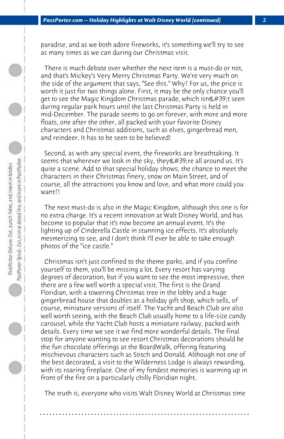paradise, and as we both adore fireworks, it's something we'll try to see as many times as we can during our Christmas visit.

 There is much debate over whether the next item is a must-do or not, and that's Mickey's Very Merry Christmas Party. We're very much on the side of the argument that says, "See this." Why? For us, the price is worth it just for two things alone. First, it may be the only chance you'll get to see the Magic Kingdom Christmas parade, which isn't seen during regular park hours until the last Christmas Party is held in mid-December. The parade seems to go on forever, with more and more floats, one after the other, all packed with your favorite Disney characters and Christmas additions, such as elves, gingerbread men, and reindeer. It has to be seen to be believed!

 Second, as with any special event, the fireworks are breathtaking. It seems that wherever we look in the sky, they ' re all around us. It's quite a scene. Add to that special holiday shows, the chance to meet the characters in their Christmas finery, snow on Main Street, and of course, all the attractions you know and love, and what more could you want?!

 The next must-do is also in the Magic Kingdom, although this one is for no extra charge. It's a recent innovation at Walt Disney World, and has become so popular that it's now become an annual event. It's the lighting up of Cinderella Castle in stunning ice effects. It's absolutely mesmerizing to see, and I don't think I'll ever be able to take enough photos of the "ice castle."

 Christmas isn't just confined to the theme parks, and if you confine yourself to them, you'll be missing a lot. Every resort has varying degrees of decoration, but if you want to see the most impressive, then there are a few well worth a special visit. The first is the Grand Floridian, with a towering Christmas tree in the lobby and a huge gingerbread house that doubles as a holiday gift shop, which sells, of course, miniature versions of itself. The Yacht and Beach Club are also well worth seeing, with the Beach Club usually home to a life-size candy carousel, while the Yacht Club hosts a miniature railway, packed with details. Every time we see it we find more wonderful details. The final stop for anyone wanting to see resort Christmas decorations should be the fun chocolate offerings at the BoardWalk, offering featuring mischievous characters such as Stitch and Donald. Although not one of the best decorated, a visit to the Wilderness Lodge is always rewarding, with its roaring fireplace. One of my fondest memories is warming up in front of the fire on a particularly chilly Floridian night.

 The truth is, everyone who visits Walt Disney World at Christmas time

**. . . . . . . . . . . . . . . . . . . . . . . . . . . . . . . . . . . . . . . . . . . . . . . . . . . . . . . . . . . . . . . . . .**